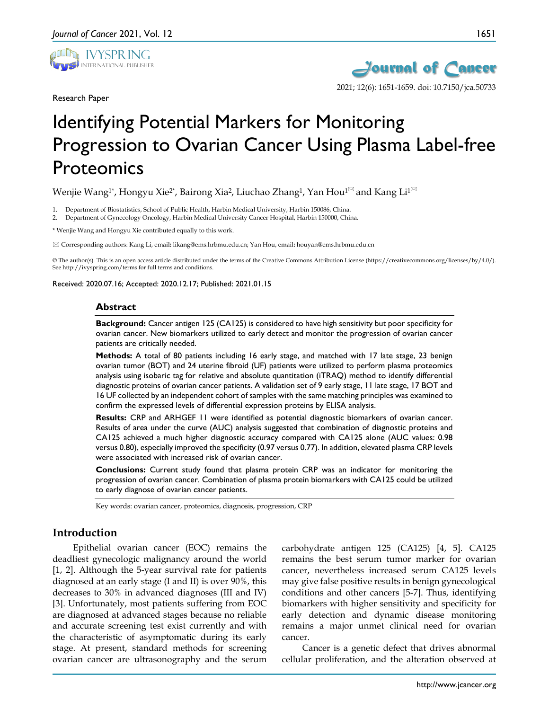

Research Paper



2021; 12(6): 1651-1659. doi: 10.7150/jca.50733

# Identifying Potential Markers for Monitoring Progression to Ovarian Cancer Using Plasma Label-free Proteomics

Wenjie Wang<sup>1\*</sup>, Hongyu Xie<sup>2\*</sup>, Bairong Xia<sup>2</sup>, Liuchao Zhang<sup>1</sup>, Yan Hou<sup>1 $\boxtimes$ </sup> and Kang Li<sup>1 $\boxtimes$ </sup>

1. Department of Biostatistics, School of Public Health, Harbin Medical University, Harbin 150086, China.

2. Department of Gynecology Oncology, Harbin Medical University Cancer Hospital, Harbin 150000, China.

\* Wenjie Wang and Hongyu Xie contributed equally to this work.

Corresponding authors: Kang Li, email**:** likang@ems.hrbmu.edu.cn; Yan Hou, email**:** houyan@ems.hrbmu.edu.cn

© The author(s). This is an open access article distributed under the terms of the Creative Commons Attribution License (https://creativecommons.org/licenses/by/4.0/). See http://ivyspring.com/terms for full terms and conditions.

Received: 2020.07.16; Accepted: 2020.12.17; Published: 2021.01.15

#### **Abstract**

**Background:** Cancer antigen 125 (CA125) is considered to have high sensitivity but poor specificity for ovarian cancer. New biomarkers utilized to early detect and monitor the progression of ovarian cancer patients are critically needed.

**Methods:** A total of 80 patients including 16 early stage, and matched with 17 late stage, 23 benign ovarian tumor (BOT) and 24 uterine fibroid (UF) patients were utilized to perform plasma proteomics analysis using isobaric tag for relative and absolute quantitation (iTRAQ) method to identify differential diagnostic proteins of ovarian cancer patients. A validation set of 9 early stage, 11 late stage, 17 BOT and 16 UF collected by an independent cohort of samples with the same matching principles was examined to confirm the expressed levels of differential expression proteins by ELISA analysis.

**Results:** CRP and ARHGEF 11 were identified as potential diagnostic biomarkers of ovarian cancer. Results of area under the curve (AUC) analysis suggested that combination of diagnostic proteins and CA125 achieved a much higher diagnostic accuracy compared with CA125 alone (AUC values: 0.98 versus 0.80), especially improved the specificity (0.97 versus 0.77). In addition, elevated plasma CRP levels were associated with increased risk of ovarian cancer.

**Conclusions:** Current study found that plasma protein CRP was an indicator for monitoring the progression of ovarian cancer. Combination of plasma protein biomarkers with CA125 could be utilized to early diagnose of ovarian cancer patients.

Key words: ovarian cancer, proteomics, diagnosis, progression, CRP

## **Introduction**

Epithelial ovarian cancer (EOC) remains the deadliest gynecologic malignancy around the world [1, 2]. Although the 5-year survival rate for patients diagnosed at an early stage (I and II) is over 90%, this decreases to 30% in advanced diagnoses (III and IV) [3]. Unfortunately, most patients suffering from EOC are diagnosed at advanced stages because no reliable and accurate screening test exist currently and with the characteristic of asymptomatic during its early stage. At present, standard methods for screening ovarian cancer are ultrasonography and the serum

carbohydrate antigen 125 (CA125) [4, 5]. CA125 remains the best serum tumor marker for ovarian cancer, nevertheless increased serum CA125 levels may give false positive results in benign gynecological conditions and other cancers [5-7]. Thus, identifying biomarkers with higher sensitivity and specificity for early detection and dynamic disease monitoring remains a major unmet clinical need for ovarian cancer.

Cancer is a genetic defect that drives abnormal cellular proliferation, and the alteration observed at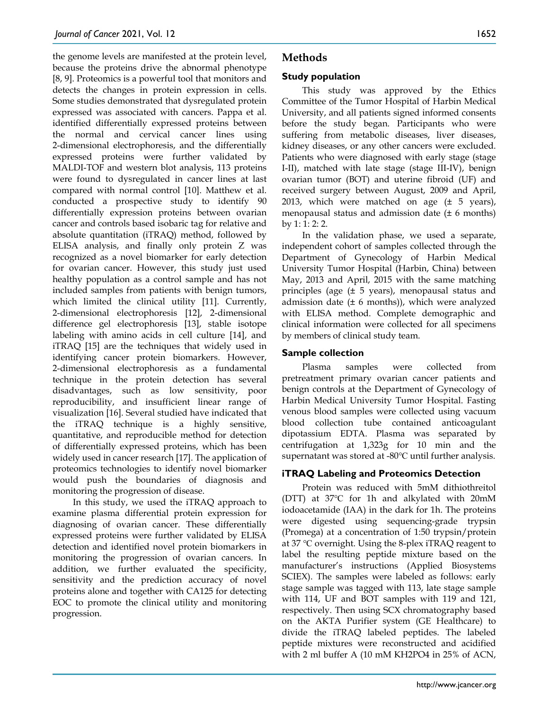the genome levels are manifested at the protein level, because the proteins drive the abnormal phenotype [8, 9]. Proteomics is a powerful tool that monitors and detects the changes in protein expression in cells. Some studies demonstrated that dysregulated protein expressed was associated with cancers. Pappa et al. identified differentially expressed proteins between the normal and cervical cancer lines using 2-dimensional electrophoresis, and the differentially expressed proteins were further validated by MALDI-TOF and western blot analysis, 113 proteins were found to dysregulated in cancer lines at last compared with normal control [10]. Matthew et al. conducted a prospective study to identify 90 differentially expression proteins between ovarian cancer and controls based isobaric tag for relative and absolute quantitation (iTRAQ) method, followed by ELISA analysis, and finally only protein Z was recognized as a novel biomarker for early detection for ovarian cancer. However, this study just used healthy population as a control sample and has not included samples from patients with benign tumors, which limited the clinical utility [11]. Currently, 2-dimensional electrophoresis [12], 2-dimensional difference gel electrophoresis [13], stable isotope labeling with amino acids in cell culture [14], and iTRAQ [15] are the techniques that widely used in identifying cancer protein biomarkers. However, 2-dimensional electrophoresis as a fundamental technique in the protein detection has several disadvantages, such as low sensitivity, poor reproducibility, and insufficient linear range of visualization [16]. Several studied have indicated that the iTRAQ technique is a highly sensitive, quantitative, and reproducible method for detection of differentially expressed proteins, which has been widely used in cancer research [17]. The application of proteomics technologies to identify novel biomarker would push the boundaries of diagnosis and monitoring the progression of disease.

In this study, we used the iTRAQ approach to examine plasma differential protein expression for diagnosing of ovarian cancer. These differentially expressed proteins were further validated by ELISA detection and identified novel protein biomarkers in monitoring the progression of ovarian cancers. In addition, we further evaluated the specificity, sensitivity and the prediction accuracy of novel proteins alone and together with CA125 for detecting EOC to promote the clinical utility and monitoring progression.

# **Methods**

## **Study population**

This study was approved by the Ethics Committee of the Tumor Hospital of Harbin Medical University, and all patients signed informed consents before the study began. Participants who were suffering from metabolic diseases, liver diseases, kidney diseases, or any other cancers were excluded. Patients who were diagnosed with early stage (stage I-II), matched with late stage (stage III-IV), benign ovarian tumor (BOT) and uterine fibroid (UF) and received surgery between August, 2009 and April, 2013, which were matched on age  $(\pm 5 \text{ years})$ , menopausal status and admission date (± 6 months) by 1: 1: 2: 2.

In the validation phase, we used a separate, independent cohort of samples collected through the Department of Gynecology of Harbin Medical University Tumor Hospital (Harbin, China) between May, 2013 and April, 2015 with the same matching principles (age (± 5 years), menopausal status and admission date  $(± 6$  months)), which were analyzed with ELISA method. Complete demographic and clinical information were collected for all specimens by members of clinical study team.

## **Sample collection**

Plasma samples were collected from pretreatment primary ovarian cancer patients and benign controls at the Department of Gynecology of Harbin Medical University Tumor Hospital. Fasting venous blood samples were collected using vacuum blood collection tube contained anticoagulant dipotassium EDTA. Plasma was separated by centrifugation at 1,323g for 10 min and the supernatant was stored at -80℃ until further analysis.

## **iTRAQ Labeling and Proteomics Detection**

Protein was reduced with 5mM dithiothreitol (DTT) at 37℃ for 1h and alkylated with 20mM iodoacetamide (IAA) in the dark for 1h. The proteins were digested using sequencing-grade trypsin (Promega) at a concentration of 1:50 trypsin/protein at 37 ℃ overnight. Using the 8-plex iTRAQ reagent to label the resulting peptide mixture based on the manufacturer's instructions (Applied Biosystems SCIEX). The samples were labeled as follows: early stage sample was tagged with 113, late stage sample with 114, UF and BOT samples with 119 and 121, respectively. Then using SCX chromatography based on the AKTA Purifier system (GE Healthcare) to divide the iTRAQ labeled peptides. The labeled peptide mixtures were reconstructed and acidified with 2 ml buffer A (10 mM KH2PO4 in 25% of ACN,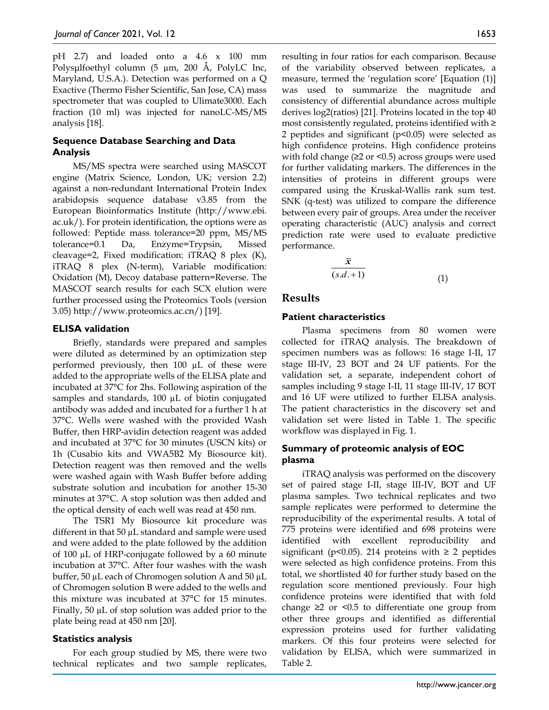pH 2.7) and loaded onto a 4.6 x 100 mm Polysμlfoethyl column (5 µm, 200 Å, PolyLC Inc, Maryland, U.S.A.). Detection was performed on a Q Exactive (Thermo Fisher Scientific, San Jose, CA) mass spectrometer that was coupled to Ulimate3000. Each fraction (10 ml) was injected for nanoLC-MS/MS analysis [18].

## **Sequence Database Searching and Data Analysis**

MS/MS spectra were searched using MASCOT engine (Matrix Science, London, UK; version 2.2) against a non-redundant International Protein Index arabidopsis sequence database v3.85 from the European Bioinformatics Institute (http://www.ebi. ac.uk/). For protein identification, the options were as followed: Peptide mass tolerance=20 ppm, MS/MS tolerance=0.1 Da, Enzyme=Trypsin, Missed cleavage=2, Fixed modification: iTRAQ 8 plex (K), iTRAQ 8 plex (N-term), Variable modification: Oxidation (M), Decoy database pattern=Reverse. The MASCOT search results for each SCX elution were further processed using the Proteomics Tools (version 3.05) http://www.proteomics.ac.cn/) [19].

## **ELISA validation**

Briefly, standards were prepared and samples were diluted as determined by an optimization step performed previously, then 100 µL of these were added to the appropriate wells of the ELISA plate and incubated at 37°C for 2hs. Following aspiration of the samples and standards, 100 µL of biotin conjugated antibody was added and incubated for a further 1 h at 37°C. Wells were washed with the provided Wash Buffer, then HRP-avidin detection reagent was added and incubated at 37°C for 30 minutes (USCN kits) or 1h (Cusabio kits and VWA5B2 My Biosource kit). Detection reagent was then removed and the wells were washed again with Wash Buffer before adding substrate solution and incubation for another 15-30 minutes at 37°C. A stop solution was then added and the optical density of each well was read at 450 nm.

The TSR1 My Biosource kit procedure was different in that 50 µL standard and sample were used and were added to the plate followed by the addition of 100  $\mu$ L of HRP-conjugate followed by a 60 minute incubation at 37°C. After four washes with the wash buffer, 50 µL each of Chromogen solution A and 50 µL of Chromogen solution B were added to the wells and this mixture was incubated at 37°C for 15 minutes. Finally, 50 µL of stop solution was added prior to the plate being read at 450 nm [20].

#### **Statistics analysis**

For each group studied by MS, there were two technical replicates and two sample replicates,

resulting in four ratios for each comparison. Because of the variability observed between replicates, a measure, termed the 'regulation score' [Equation (1)] was used to summarize the magnitude and consistency of differential abundance across multiple derives log2(ratios) [21]. Proteins located in the top 40 most consistently regulated, proteins identified with ≥ 2 peptides and significant (p<0.05) were selected as high confidence proteins. High confidence proteins with fold change ( $\geq$ 2 or <0.5) across groups were used for further validating markers. The differences in the intensities of proteins in different groups were compared using the Kruskal-Wallis rank sum test. SNK (q-test) was utilized to compare the difference between every pair of groups. Area under the receiver operating characteristic (AUC) analysis and correct prediction rate were used to evaluate predictive performance.

$$
\frac{\overline{x}}{(s.d.+1)}
$$
 (1)

## **Results**

## **Patient characteristics**

Plasma specimens from 80 women were collected for iTRAQ analysis. The breakdown of specimen numbers was as follows: 16 stage I-II, 17 stage III-IV, 23 BOT and 24 UF patients. For the validation set, a separate, independent cohort of samples including 9 stage I-II, 11 stage III-IV, 17 BOT and 16 UF were utilized to further ELISA analysis. The patient characteristics in the discovery set and validation set were listed in Table 1. The specific workflow was displayed in Fig. 1.

## **Summary of proteomic analysis of EOC plasma**

iTRAQ analysis was performed on the discovery set of paired stage I-II, stage III-IV, BOT and UF plasma samples. Two technical replicates and two sample replicates were performed to determine the reproducibility of the experimental results. A total of 775 proteins were identified and 698 proteins were identified with excellent reproducibility and significant (p<0.05). 214 proteins with  $\geq$  2 peptides were selected as high confidence proteins. From this total, we shortlisted 40 for further study based on the regulation score mentioned previously. Four high confidence proteins were identified that with fold change  $\geq 2$  or  $\leq 0.5$  to differentiate one group from other three groups and identified as differential expression proteins used for further validating markers. Of this four proteins were selected for validation by ELISA, which were summarized in Table 2.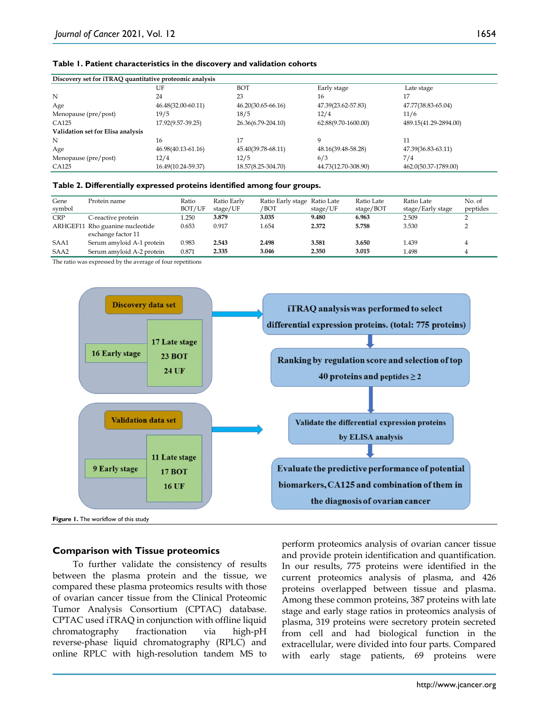#### **Table 1. Patient characteristics in the discovery and validation cohorts**

| Discovery set for iTRAQ quantitative proteomic analysis |                    |                    |                     |                       |  |  |  |
|---------------------------------------------------------|--------------------|--------------------|---------------------|-----------------------|--|--|--|
|                                                         | UF                 | BOT                | Early stage         | Late stage            |  |  |  |
| N                                                       | 24                 | 23                 | 16                  | 17                    |  |  |  |
| Age                                                     | 46.48(32.00-60.11) | 46.20(30.65-66.16) | 47.39(23.62-57.83)  | 47.77(38.83-65.04)    |  |  |  |
| Menopause (pre/post)                                    | 19/5               | 18/5               | 12/4                | 11/6                  |  |  |  |
| CA125                                                   | 17.92(9.57-39.25)  | 26.36(6.79-204.10) | 62.88(9.70-1600.00) | 489.15(41.29-2894.00) |  |  |  |
| Validation set for Elisa analysis                       |                    |                    |                     |                       |  |  |  |
| N                                                       | 16                 |                    | Q                   | 11                    |  |  |  |
| Age                                                     | 46.98(40.13-61.16) | 45.40(39.78-68.11) | 48.16(39.48-58.28)  | 47.39(36.83-63.11)    |  |  |  |
| Menopause (pre/post)                                    | 12/4               | 12/5               | 6/3                 | 7/4                   |  |  |  |
| CA125                                                   | 16.49(10.24-59.37) | 18.57(8.25-304.70) | 44.73(12.70-308.90) | 462.0(50.37-1789.00)  |  |  |  |

#### **Table 2. Differentially expressed proteins identified among four groups.**

| Gene<br>symbol | Protein name                                          | Ratio<br>BOT/UF | Ratio Early<br>stage/UF | Ratio Early stage Ratio Late<br>/BOT | stage/UF | Ratio Late<br>stage/BOT | Ratio Late<br>stage/Early stage | No. of<br>peptides |
|----------------|-------------------------------------------------------|-----------------|-------------------------|--------------------------------------|----------|-------------------------|---------------------------------|--------------------|
| <b>CRP</b>     | C-reactive protein                                    | 1.250           | 3.879                   | 3.035                                | 9.480    | 6.963                   | 2.509                           | ∸                  |
|                | ARHGEF11 Rho guanine nucleotide<br>exchange factor 11 | 0.653           | 0.917                   | 1.654                                | 2.372    | 5.758                   | 3.530                           |                    |
| SAA1           | Serum amyloid A-1 protein                             | 0.983           | 2.543                   | 2.498                                | 3.581    | 3.650                   | 1.439                           |                    |
| SAA2           | Serum amyloid A-2 protein                             | 0.871           | 2.335                   | 3.046                                | 2.350    | 3.015                   | 1.498                           | 4                  |

The ratio was expressed by the average of four repetitions



**Figure 1.** The workflow of this study

#### **Comparison with Tissue proteomics**

To further validate the consistency of results between the plasma protein and the tissue, we compared these plasma proteomics results with those of ovarian cancer tissue from the Clinical Proteomic Tumor Analysis Consortium (CPTAC) database. CPTAC used iTRAQ in conjunction with offline liquid chromatography fractionation via high-pH reverse-phase liquid chromatography (RPLC) and online RPLC with high-resolution tandem MS to

perform proteomics analysis of ovarian cancer tissue and provide protein identification and quantification. In our results, 775 proteins were identified in the current proteomics analysis of plasma, and 426 proteins overlapped between tissue and plasma. Among these common proteins, 387 proteins with late stage and early stage ratios in proteomics analysis of plasma, 319 proteins were secretory protein secreted from cell and had biological function in the extracellular, were divided into four parts. Compared with early stage patients, 69 proteins were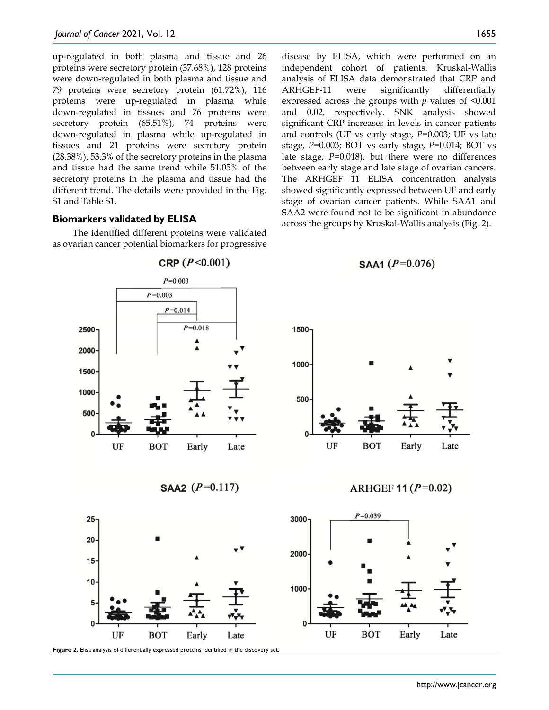up-regulated in both plasma and tissue and 26 proteins were secretory protein (37.68%), 128 proteins were down-regulated in both plasma and tissue and 79 proteins were secretory protein (61.72%), 116 proteins were up-regulated in plasma while down-regulated in tissues and 76 proteins were secretory protein (65.51%), 74 proteins were down-regulated in plasma while up-regulated in tissues and 21 proteins were secretory protein (28.38%). 53.3% of the secretory proteins in the plasma and tissue had the same trend while 51.05% of the secretory proteins in the plasma and tissue had the different trend. The details were provided in the Fig. S1 and Table S1.

## **Biomarkers validated by ELISA**

The identified different proteins were validated as ovarian cancer potential biomarkers for progressive disease by ELISA, which were performed on an independent cohort of patients. Kruskal-Wallis analysis of ELISA data demonstrated that CRP and ARHGEF-11 were significantly differentially expressed across the groups with *p* values of <0.001 and 0.02, respectively. SNK analysis showed significant CRP increases in levels in cancer patients and controls (UF vs early stage, *P*=0.003; UF vs late stage, *P*=0.003; BOT vs early stage, *P*=0.014; BOT vs late stage, *P*=0.018), but there were no differences between early stage and late stage of ovarian cancers. The ARHGEF 11 ELISA concentration analysis showed significantly expressed between UF and early stage of ovarian cancer patients. While SAA1 and SAA2 were found not to be significant in abundance across the groups by Kruskal-Wallis analysis (Fig. 2).



**Figure 2.** Elisa analysis of differentially expressed proteins identified in the discovery set.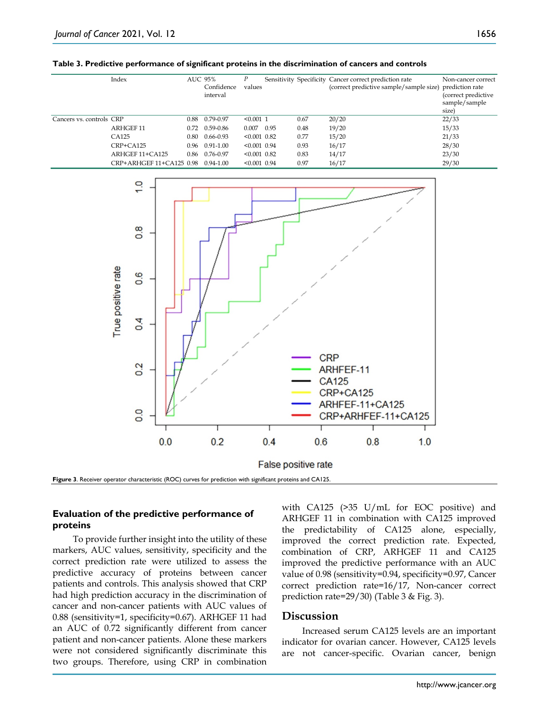|                          | Index                    | AUC 95% | Confidence<br>interval | P<br>values    |      |      | Sensitivity Specificity Cancer correct prediction rate<br>(correct predictive sample/sample size) prediction rate | Non-cancer correct<br>(correct predictive<br>sample/sample<br>size) |
|--------------------------|--------------------------|---------|------------------------|----------------|------|------|-------------------------------------------------------------------------------------------------------------------|---------------------------------------------------------------------|
| Cancers vs. controls CRP |                          | 0.88    | 0.79-0.97              | $< 0.001$ 1    |      | 0.67 | 20/20                                                                                                             | 22/33                                                               |
|                          | <b>ARHGEF 11</b>         | 0.72    | 0.59-0.86              | 0.007          | 0.95 | 0.48 | 19/20                                                                                                             | 15/33                                                               |
|                          | CA125                    | 0.80    | 0.66-0.93              | $< 0.001$ 0.82 |      | 0.77 | 15/20                                                                                                             | 21/33                                                               |
|                          | CRP+CA125                | 0.96    | 0.91-1.00              | $< 0.001$ 0.94 |      | 0.93 | 16/17                                                                                                             | 28/30                                                               |
|                          | ARHGEF 11+CA125          | 0.86    | 0.76-0.97              | $< 0.001$ 0.82 |      | 0.83 | 14/17                                                                                                             | 23/30                                                               |
|                          | CRP+ARHGEF 11+CA125 0.98 |         | $0.94 - 1.00$          | $< 0.001$ 0.94 |      | 0.97 | 16/17                                                                                                             | 29/30                                                               |



## **Evaluation of the predictive performance of proteins**

To provide further insight into the utility of these markers, AUC values, sensitivity, specificity and the correct prediction rate were utilized to assess the predictive accuracy of proteins between cancer patients and controls. This analysis showed that CRP had high prediction accuracy in the discrimination of cancer and non-cancer patients with AUC values of 0.88 (sensitivity=1, specificity=0.67). ARHGEF 11 had an AUC of 0.72 significantly different from cancer patient and non-cancer patients. Alone these markers were not considered significantly discriminate this two groups. Therefore, using CRP in combination

with CA125 (>35 U/mL for EOC positive) and ARHGEF 11 in combination with CA125 improved the predictability of CA125 alone, especially, improved the correct prediction rate. Expected, combination of CRP, ARHGEF 11 and CA125 improved the predictive performance with an AUC value of 0.98 (sensitivity=0.94, specificity=0.97, Cancer correct prediction rate=16/17, Non-cancer correct prediction rate=29/30) (Table 3 & Fig. 3).

## **Discussion**

Increased serum CA125 levels are an important indicator for ovarian cancer. However, CA125 levels are not cancer-specific. Ovarian cancer, benign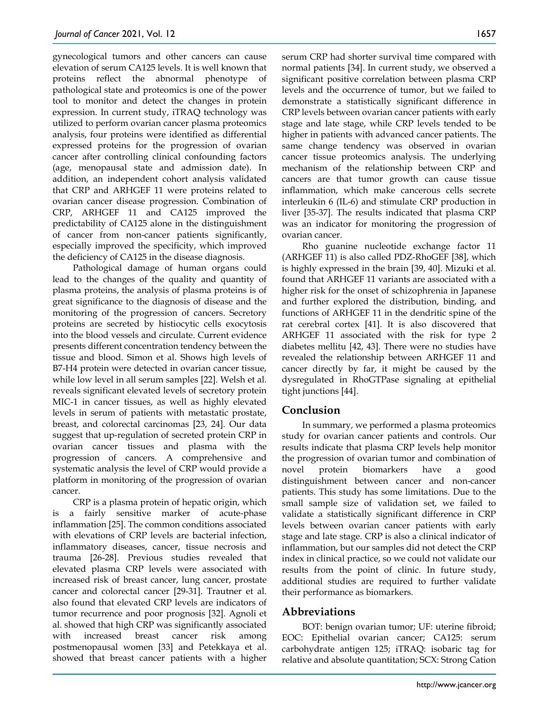gynecological tumors and other cancers can cause elevation of serum CA125 levels. It is well known that proteins reflect the abnormal phenotype of pathological state and proteomics is one of the power tool to monitor and detect the changes in protein expression. In current study, iTRAQ technology was utilized to perform ovarian cancer plasma proteomics analysis, four proteins were identified as differential expressed proteins for the progression of ovarian cancer after controlling clinical confounding factors (age, menopausal state and admission date). In addition, an independent cohort analysis validated that CRP and ARHGEF 11 were proteins related to ovarian cancer disease progression. Combination of CRP, ARHGEF 11 and CA125 improved the predictability of CA125 alone in the distinguishment of cancer from non-cancer patients significantly, especially improved the specificity, which improved the deficiency of CA125 in the disease diagnosis.

Pathological damage of human organs could lead to the changes of the quality and quantity of plasma proteins, the analysis of plasma proteins is of great significance to the diagnosis of disease and the monitoring of the progression of cancers. Secretory proteins are secreted by histiocytic cells exocytosis into the blood vessels and circulate. Current evidence presents different concentration tendency between the tissue and blood. Simon et al. Shows high levels of B7-H4 protein were detected in ovarian cancer tissue, while low level in all serum samples [22]. Welsh et al. reveals significant elevated levels of secretory protein MIC-1 in cancer tissues, as well as highly elevated levels in serum of patients with metastatic prostate, breast, and colorectal carcinomas [23, 24]. Our data suggest that up-regulation of secreted protein CRP in ovarian cancer tissues and plasma with the progression of cancers. A comprehensive and systematic analysis the level of CRP would provide a platform in monitoring of the progression of ovarian cancer.

CRP is a plasma protein of hepatic origin, which is a fairly sensitive marker of acute-phase inflammation [25]. The common conditions associated with elevations of CRP levels are bacterial infection, inflammatory diseases, cancer, tissue necrosis and trauma [26-28]. Previous studies revealed that elevated plasma CRP levels were associated with increased risk of breast cancer, lung cancer, prostate cancer and colorectal cancer [29-31]. Trautner et al. also found that elevated CRP levels are indicators of tumor recurrence and poor prognosis [32]. Agnoli et al. showed that high CRP was significantly associated with increased breast cancer risk among postmenopausal women [33] and Petekkaya et al. showed that breast cancer patients with a higher

serum CRP had shorter survival time compared with normal patients [34]. In current study, we observed a significant positive correlation between plasma CRP levels and the occurrence of tumor, but we failed to demonstrate a statistically significant difference in CRP levels between ovarian cancer patients with early stage and late stage, while CRP levels tended to be higher in patients with advanced cancer patients. The same change tendency was observed in ovarian cancer tissue proteomics analysis. The underlying mechanism of the relationship between CRP and cancers are that tumor growth can cause tissue inflammation, which make cancerous cells secrete interleukin 6 (IL-6) and stimulate CRP production in liver [35-37]. The results indicated that plasma CRP was an indicator for monitoring the progression of ovarian cancer.

Rho guanine nucleotide exchange factor 11 (ARHGEF 11) is also called PDZ-RhoGEF [38], which is highly expressed in the brain [39, 40]. Mizuki et al. found that ARHGEF 11 variants are associated with a higher risk for the onset of schizophrenia in Japanese and further explored the distribution, binding, and functions of ARHGEF 11 in the dendritic spine of the rat cerebral cortex [41]. It is also discovered that ARHGEF 11 associated with the risk for type 2 diabetes mellitu [42, 43]. There were no studies have revealed the relationship between ARHGEF 11 and cancer directly by far, it might be caused by the dysregulated in RhoGTPase signaling at epithelial tight junctions [44].

## **Conclusion**

In summary, we performed a plasma proteomics study for ovarian cancer patients and controls. Our results indicate that plasma CRP levels help monitor the progression of ovarian tumor and combination of novel protein biomarkers have a good distinguishment between cancer and non-cancer patients. This study has some limitations. Due to the small sample size of validation set, we failed to validate a statistically significant difference in CRP levels between ovarian cancer patients with early stage and late stage. CRP is also a clinical indicator of inflammation, but our samples did not detect the CRP index in clinical practice, so we could not validate our results from the point of clinic. In future study, additional studies are required to further validate their performance as biomarkers.

## **Abbreviations**

BOT: benign ovarian tumor; UF: uterine fibroid; EOC: Epithelial ovarian cancer; CA125: serum carbohydrate antigen 125; iTRAQ: isobaric tag for relative and absolute quantitation; SCX: Strong Cation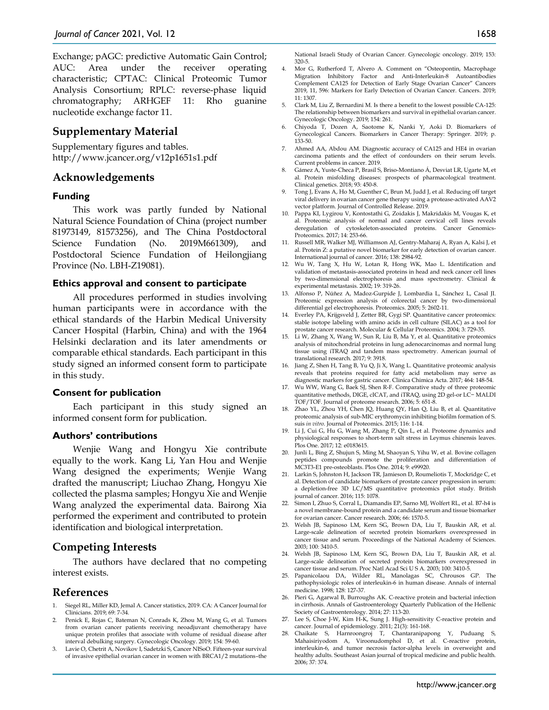Exchange; pAGC: predictive Automatic Gain Control; AUC: Area under the receiver operating characteristic; CPTAC: Clinical Proteomic Tumor Analysis Consortium; RPLC: reverse-phase liquid chromatography; ARHGEF 11: Rho guanine nucleotide exchange factor 11.

## **Supplementary Material**

Supplementary figures and tables. http://www.jcancer.org/v12p1651s1.pdf

## **Acknowledgements**

#### **Funding**

This work was partly funded by National Natural Science Foundation of China (project number 81973149, 81573256), and The China Postdoctoral Science Fundation (No. 2019M661309), and Postdoctoral Science Fundation of Heilongjiang Province (No. LBH-Z19081).

#### **Ethics approval and consent to participate**

All procedures performed in studies involving human participants were in accordance with the ethical standards of the Harbin Medical University Cancer Hospital (Harbin, China) and with the 1964 Helsinki declaration and its later amendments or comparable ethical standards. Each participant in this study signed an informed consent form to participate in this study.

#### **Consent for publication**

Each participant in this study signed an informed consent form for publication.

#### **Authors' contributions**

Wenjie Wang and Hongyu Xie contribute equally to the work. Kang Li, Yan Hou and Wenjie Wang designed the experiments; Wenjie Wang drafted the manuscript; Liuchao Zhang, Hongyu Xie collected the plasma samples; Hongyu Xie and Wenjie Wang analyzed the experimental data. Bairong Xia performed the experiment and contributed to protein identification and biological interpretation.

# **Competing Interests**

The authors have declared that no competing interest exists.

#### **References**

- Siegel RL, Miller KD, Jemal A. Cancer statistics, 2019. CA: A Cancer Journal for Clinicians. 2019; 69: 7-34.
- 2. Penick E, Rojas C, Bateman N, Conrads K, Zhou M, Wang G, et al. Tumors from ovarian cancer patients receiving neoadjuvant chemotherapy have unique protein profiles that associate with volume of residual disease after interval debulking surgery. Gynecologic Oncology. 2019; 154: 59-60.
- Lavie O, Chetrit A, Novikov I, Sadetzki S, Cancer NISoO. Fifteen-year survival of invasive epithelial ovarian cancer in women with BRCA1/2 mutations–the

National Israeli Study of Ovarian Cancer. Gynecologic oncology. 2019; 153: 320-5.

- 4. Mor G, Rutherford T, Alvero A. Comment on "Osteopontin, Macrophage Migration Inhibitory Factor and Anti-Interleukin-8 Autoantibodies Complement CA125 for Detection of Early Stage Ovarian Cancer" Cancers 2019, 11, 596: Markers for Early Detection of Ovarian Cancer. Cancers. 2019; 11: 1307.
- 5. Clark M, Liu Z, Bernardini M. Is there a benefit to the lowest possible CA-125: The relationship between biomarkers and survival in epithelial ovarian cancer. Gynecologic Oncology. 2019; 154: 261.
- 6. Chiyoda T, Dozen A, Saotome K, Nanki Y, Aoki D. Biomarkers of Gynecological Cancers. Biomarkers in Cancer Therapy: Springer. 2019; p. 133-50.
- 7. Ahmed AA, Abdou AM. Diagnostic accuracy of CA125 and HE4 in ovarian carcinoma patients and the effect of confounders on their serum levels. Current problems in cancer. 2019.
- 8. Gámez A, Yuste‐Checa P, Brasil S, Briso‐Montiano Á, Desviat LR, Ugarte M, et al. Protein misfolding diseases: prospects of pharmacological treatment. Clinical genetics. 2018; 93: 450-8.
- 9. Tong J, Evans A, Ho M, Guenther C, Brun M, Judd J, et al. Reducing off target viral delivery in ovarian cancer gene therapy using a protease-activated AAV2 vector platform. Journal of Controlled Release. 2019.
- 10. Pappa KI, Lygirou V, Kontostathi G, Zoidakis J, Makridakis M, Vougas K, et al. Proteomic analysis of normal and cancer cervical cell lines reveals deregulation of cytoskeleton-associated proteins. Cancer Genomics-Proteomics. 2017; 14: 253-66.
- 11. Russell MR, Walker MJ, Williamson AJ, Gentry‐Maharaj A, Ryan A, Kalsi J, et al. Protein Z: a putative novel biomarker for early detection of ovarian cancer. International journal of cancer. 2016; 138: 2984-92.
- 12. Wu W, Tang X, Hu W, Lotan R, Hong WK, Mao L. Identification and validation of metastasis-associated proteins in head and neck cancer cell lines by two-dimensional electrophoresis and mass spectrometry. Clinical & experimental metastasis. 2002; 19: 319-26.
- 13. Alfonso P, Núñez A, Madoz‐Gurpide J, Lombardia L, Sánchez L, Casal JI. Proteomic expression analysis of colorectal cancer by two-dimensional differential gel electrophoresis. Proteomics. 2005; 5: 2602-11.
- 14. Everley PA, Krijgsveld J, Zetter BR, Gygi SP. Quantitative cancer proteomics: stable isotope labeling with amino acids in cell culture (SILAC) as a tool for prostate cancer research. Molecular & Cellular Proteomics. 2004; 3: 729-35.
- 15. Li W, Zhang X, Wang W, Sun R, Liu B, Ma Y, et al. Quantitative proteomics analysis of mitochondrial proteins in lung adenocarcinomas and normal lung tissue using iTRAQ and tandem mass spectrometry. American journal of translational research. 2017; 9: 3918.
- 16. Jiang Z, Shen H, Tang B, Yu Q, Ji X, Wang L. Quantitative proteomic analysis reveals that proteins required for fatty acid metabolism may serve as diagnostic markers for gastric cancer. Clinica Chimica Acta. 2017; 464: 148-54.
- 17. Wu WW, Wang G, Baek SJ, Shen R-F. Comparative study of three proteomic quantitative methods, DIGE, cICAT, and iTRAQ, using 2D gel-or LC− MALDI TOF/TOF. Journal of proteome research. 2006; 5: 651-8.
- 18. Zhao YL, Zhou YH, Chen JQ, Huang QY, Han Q, Liu B, et al. Quantitative proteomic analysis of sub-MIC erythromycin inhibiting biofilm formation of S. suis *in vitro*. Journal of Proteomics. 2015; 116: 1-14.
- 19. Li J, Cui G, Hu G, Wang M, Zhang P, Qin L, et al. Proteome dynamics and physiological responses to short-term salt stress in Leymus chinensis leaves. Plos One. 2017; 12: e0183615.
- 20. Junli L, Bing Z, Shujun S, Ming M, Shaoyan S, Yihu W, et al. Bovine collagen peptides compounds promote the proliferation and differentiation of MC3T3-E1 pre-osteoblasts. Plos One. 2014; 9: e99920.
- 21. Larkin S, Johnston H, Jackson TR, Jamieson D, Roumeliotis T, Mockridge C, et al. Detection of candidate biomarkers of prostate cancer progression in serum: a depletion-free 3D LC/MS quantitative proteomics pilot study. British journal of cancer. 2016; 115: 1078.
- 22. Simon I, Zhuo S, Corral L, Diamandis EP, Sarno MJ, Wolfert RL, et al. B7-h4 is a novel membrane-bound protein and a candidate serum and tissue biomarker for ovarian cancer. Cancer research. 2006; 66: 1570-5.
- 23. Welsh JB, Sapinoso LM, Kern SG, Brown DA, Liu T, Bauskin AR, et al. Large-scale delineation of secreted protein biomarkers overexpressed in cancer tissue and serum. Proceedings of the National Academy of Sciences. 2003; 100: 3410-5.
- 24. Welsh JB, Sapinoso LM, Kern SG, Brown DA, Liu T, Bauskin AR, et al. Large-scale delineation of secreted protein biomarkers overexpressed in cancer tissue and serum. Proc Natl Acad Sci U S A. 2003; 100: 3410-5.
- 25. Papanicolaou DA, Wilder RL, Manolagas SC, Chrousos GP. The pathophysiologic roles of interleukin-6 in human disease. Annals of internal medicine. 1998; 128: 127-37.
- 26. Pieri G, Agarwal B, Burroughs AK. C-reactive protein and bacterial infection in cirrhosis. Annals of Gastroenterology Quarterly Publication of the Hellenic Society of Gastroenterology. 2014; 27: 113-20.
- 27. Lee S, Choe J-W, Kim H-K, Sung J. High-sensitivity C-reactive protein and cancer. Journal of epidemiology. 2011; 21(3): 161-168.
- 28. Chaikate S, Harnroongroj T, Chantaranipapong Y, Puduang S, Mahaisiriyodom A, Viroonudomphol D, et al. C-reactive protein, interleukin-6, and tumor necrosis factor-alpha levels in overweight and healthy adults. Southeast Asian journal of tropical medicine and public health. 2006; 37: 374.